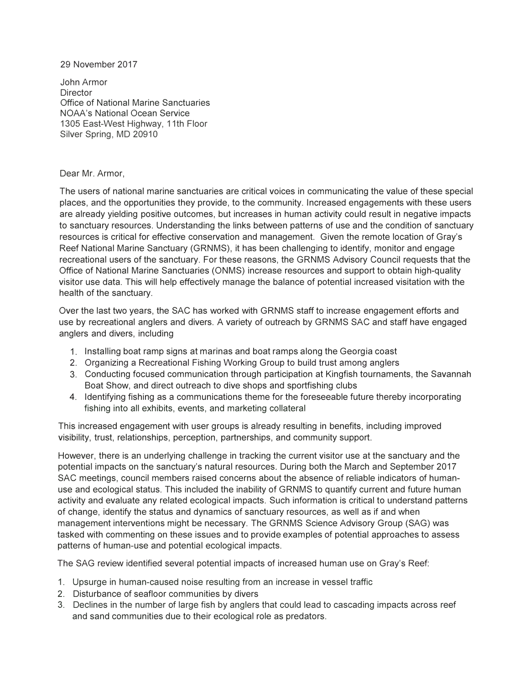## 29 November 2017

John Armor **Director** Office of National Marine Sanctuaries NOAA's National Ocean Service 1305 East-West Highway, 11th Floor Silver Spring, MD 20910

## Dear Mr. Armor,

The users of national marine sanctuaries are critical voices in communicating the value of these special places, and the opportunities they provide, to the community. Increased engagements with these users are already yielding positive outcomes, but increases in human activity could result in negative impacts to sanctuary resources. Understanding the links between patterns of use and the condition of sanctuary resources is critical for effective conservation and management. Given the remote location of Gray's Reef National Marine Sanctuary (GRNMS), it has been challenging to identify, monitor and engage recreational users of the sanctuary. For these reasons, the GRNMS Advisory Council requests that the Office of National Marine Sanctuaries (ONMS) increase resources and support to obtain high-quality visitor use data. This will help effectively manage the balance of potential increased visitation with the health of the sanctuary.

Over the last two years, the SAC has worked with GRNMS staff to increase engagement efforts and use by recreational anglers and divers. A variety of outreach by GRNMS SAC and staff have engaged anglers and divers, including

- 1. Installing boat ramp signs at marinas and boat ramps along the Georgia coast
- 2. Organizing a Recreational Fishing Working Group to build trust among anglers
- 3. Conducting focused communication through participation at Kingfish tournaments, the Savannah Boat Show, and direct outreach to dive shops and sportfishing clubs
- 4. Identifying fishing as a communications theme for the foreseeable future thereby incorporating fishing into all exhibits, events, and marketing collateral

This increased engagement with user groups is already resulting in benefits, including improved visibility, trust, relationships, perception, partnerships, and community support.

However, there is an underlying challenge in tracking the current visitor use at the sanctuary and the potential impacts on the sanctuary's natural resources. During both the March and September 2017 SAC meetings, council members raised concerns about the absence of reliable indicators of humanuse and ecological status. This included the inability of GRNMS to quantify current and future human activity and evaluate any related ecological impacts. Such information is critical to understand patterns of change, identify the status and dynamics of sanctuary resources, as well as if and when management interventions might be necessary. The GRNMS Science Advisory Group (SAG) was tasked with commenting on these issues and to provide examples of potential approaches to assess patterns of human-use and potential ecological impacts.

The SAG review identified several potential impacts of increased human use on Gray's Reef:

- 1. Upsurge in human-caused noise resulting from an increase in vessel traffic
- 2. Disturbance of seafloor communities by divers
- 3. Declines in the number of large fish by anglers that could lead to cascading impacts across reef and sand communities due to their ecological role as predators.